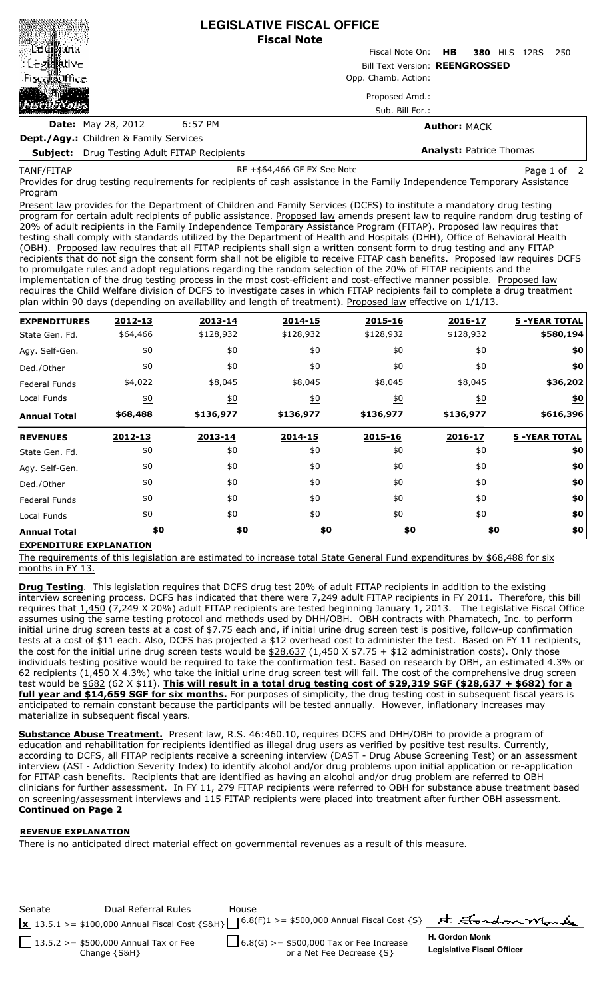|                                                     |         | <b>LEGISLATIVE FISCAL OFFICE</b><br><b>Fiscal Note</b> |                             |  |  |
|-----------------------------------------------------|---------|--------------------------------------------------------|-----------------------------|--|--|
|                                                     |         | Fiscal Note On: <b>HB</b>                              | <b>380 HLS 12RS</b><br>-250 |  |  |
| ं Legistiative<br>-Fiscal泼ffice                     |         | <b>Bill Text Version: REENGROSSED</b>                  |                             |  |  |
|                                                     |         | Opp. Chamb. Action:                                    |                             |  |  |
|                                                     |         | Proposed Amd.:                                         |                             |  |  |
|                                                     |         | Sub. Bill For.:                                        |                             |  |  |
| <b>Date:</b> May 28, 2012                           | 6:57 PM |                                                        | <b>Author: MACK</b>         |  |  |
| <b>Dept./Agy.:</b> Children & Family Services       |         |                                                        |                             |  |  |
| <b>Subject:</b> Drug Testing Adult FITAP Recipients |         | <b>Analyst: Patrice Thomas</b>                         |                             |  |  |

TANF/FITAP

RE +\$64,466 GF EX See Note Page 1 of 2

Provides for drug testing requirements for recipients of cash assistance in the Family Independence Temporary Assistance Program

Present law provides for the Department of Children and Family Services (DCFS) to institute a mandatory drug testing program for certain adult recipients of public assistance. Proposed law amends present law to require random drug testing of 20% of adult recipients in the Family Independence Temporary Assistance Program (FITAP). Proposed law requires that testing shall comply with standards utilized by the Department of Health and Hospitals (DHH), Office of Behavioral Health (OBH). Proposed law requires that all FITAP recipients shall sign a written consent form to drug testing and any FITAP recipients that do not sign the consent form shall not be eligible to receive FITAP cash benefits. Proposed law requires DCFS to promulgate rules and adopt regulations regarding the random selection of the 20% of FITAP recipients and the implementation of the drug testing process in the most cost-efficient and cost-effective manner possible. Proposed law requires the Child Welfare division of DCFS to investigate cases in which FITAP recipients fail to complete a drug treatment plan within 90 days (depending on availability and length of treatment). Proposed law effective on 1/1/13.

| <b>EXPENDITURES</b>  | 2012-13           | 2013-14          | 2014-15          | 2015-16          | 2016-17          | <b>5 -YEAR TOTAL</b> |
|----------------------|-------------------|------------------|------------------|------------------|------------------|----------------------|
| State Gen. Fd.       | \$64,466          | \$128,932        | \$128,932        | \$128,932        | \$128,932        | \$580,194            |
| Agy. Self-Gen.       | \$0               | \$0              | \$0              | \$0              | \$0              | \$0                  |
| Ded./Other           | \$0               | \$0              | \$0              | \$0              | \$0              | \$0                  |
| <b>Federal Funds</b> | \$4,022           | \$8,045          | \$8,045          | \$8,045          | \$8,045          | \$36,202             |
| Local Funds          | $\underline{\$0}$ | $\underline{40}$ | $\underline{40}$ | 60               | $\underline{50}$ | $\underline{\$0}$    |
| <b>Annual Total</b>  | \$68,488          | \$136,977        | \$136,977        | \$136,977        | \$136,977        | \$616,396            |
| <b>REVENUES</b>      | 2012-13           | 2013-14          | 2014-15          | 2015-16          | 2016-17          | <b>5 -YEAR TOTAL</b> |
| State Gen. Fd.       | \$0               | \$0              | \$0              | \$0              | \$0              | \$0                  |
| Agy. Self-Gen.       | \$0               | \$0              | \$0              | \$0              | \$0              | \$0                  |
| Ded./Other           | \$0               | \$0              | \$0              | \$0              | \$0              | \$0                  |
| <b>Federal Funds</b> | \$0               | \$0              | \$0              | \$0              | \$0              | \$0                  |
| Local Funds          | $\underline{\$0}$ | 60               | $\underline{50}$ | $\underline{50}$ | $\underline{40}$ | \$0                  |
| <b>Annual Total</b>  | \$0               | \$0              | \$0              | \$0              |                  | \$0<br>\$0           |

## **EXPENDITURE EXPLANATION**

The requirements of this legislation are estimated to increase total State General Fund expenditures by \$68,488 for six months in FY 13.

**Drug Testing**. This legislation requires that DCFS drug test 20% of adult FITAP recipients in addition to the existing interview screening process. DCFS has indicated that there were 7,249 adult FITAP recipients in FY 2011. Therefore, this bill requires that 1,450 (7,249 X 20%) adult FITAP recipients are tested beginning January 1, 2013. The Legislative Fiscal Office assumes using the same testing protocol and methods used by DHH/OBH. OBH contracts with Phamatech, Inc. to perform initial urine drug screen tests at a cost of \$7.75 each and, if initial urine drug screen test is positive, follow-up confirmation tests at a cost of \$11 each. Also, DCFS has projected a \$12 overhead cost to administer the test. Based on FY 11 recipients, the cost for the initial urine drug screen tests would be  $$28,637$  (1,450 X \$7.75 + \$12 administration costs). Only those individuals testing positive would be required to take the confirmation test. Based on research by OBH, an estimated 4.3% or 62 recipients (1,450 X 4.3%) who take the initial urine drug screen test will fail. The cost of the comprehensive drug screen test would be  $$682$  (62 X \$11). This will result in a total drug testing cost of \$29,319 SGF (\$28,637 + \$682) for a **full year and \$14,659 SGF for six months.** For purposes of simplicity, the drug testing cost in subsequent fiscal years is anticipated to remain constant because the participants will be tested annually. However, inflationary increases may materialize in subsequent fiscal years.

**Substance Abuse Treatment.** Present law, R.S. 46:460.10, requires DCFS and DHH/OBH to provide a program of education and rehabilitation for recipients identified as illegal drug users as verified by positive test results. Currently, according to DCFS, all FITAP recipients receive a screening interview (DAST - Drug Abuse Screening Test) or an assessment interview (ASI - Addiction Severity Index) to identify alcohol and/or drug problems upon initial application or re-application for FITAP cash benefits. Recipients that are identified as having an alcohol and/or drug problem are referred to OBH clinicians for further assessment. In FY 11, 279 FITAP recipients were referred to OBH for substance abuse treatment based on screening/assessment interviews and 115 FITAP recipients were placed into treatment after further OBH assessment. **Continued on Page 2**

## **REVENUE EXPLANATION**

There is no anticipated direct material effect on governmental revenues as a result of this measure.

Senate **Dual Referral Rules** House H. Gordon Mark  $\overline{\mathbf{x}}$  13.5.1 >= \$100,000 Annual Fiscal Cost {S&H}  $\Box$  <sup>6.8(F)1 >= \$500,000 Annual Fiscal Cost {S}</sup> **H. Gordon Monk** 13.5.2 >= \$500,000 Annual Tax or Fee  $\frac{1}{2}$ 6.8(G) >= \$500,000 Tax or Fee Increase **Legislative Fiscal Officer** or a Net Fee Decrease {S} Change {S&H}